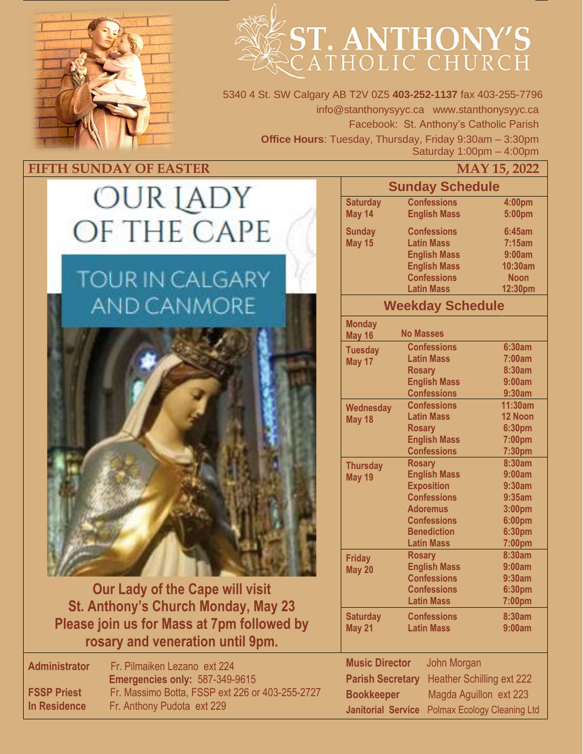

# ST. ANTHONY'S

5340 4 St. SW Calgary AB T2V 0Z5 **403-252-1137** fax 403-255-7796 info@stanthonysyyc.ca www.stanthonysyyc.ca Facebook: St. Anthony's Catholic Parish **Office Hours**: Tuesday, Thursday, Friday 9:30am – 3:30pm Saturday 1:00pm – 4:00pm

## **FIFTH SUNDAY OF EASTER**

# OUR IADY OF THE CAPE

# **TOUR IN CALGARY AND CANMORE**



**Our Lady of the Cape will visit St. Anthony's Church Monday, May 23 Please join us for Mass at 7pm followed by rosary and veneration until 9pm.** 

**Administrator** Fr. Pilmaiken Lezano ext 224 **Emergencies only:** 587-349-9615 **FSSP Priest** Fr. Massimo Botta, FSSP ext 226 or 403-255-2727 **In Residence** Fr. Anthony Pudota ext 229

|                                                                 |                     | IVIA I 15, 2022 |  |  |
|-----------------------------------------------------------------|---------------------|-----------------|--|--|
| <b>Sunday Schedule</b>                                          |                     |                 |  |  |
| <b>Saturday</b>                                                 | <b>Confessions</b>  | 4:00pm          |  |  |
| May 14                                                          | <b>English Mass</b> | 5:00pm          |  |  |
|                                                                 |                     |                 |  |  |
| <b>Sunday</b>                                                   | <b>Confessions</b>  | 6:45am          |  |  |
| May 15                                                          | <b>Latin Mass</b>   | 7:15am          |  |  |
|                                                                 | <b>English Mass</b> | 9:00am          |  |  |
|                                                                 | <b>English Mass</b> | 10:30am         |  |  |
|                                                                 | <b>Confessions</b>  | <b>Noon</b>     |  |  |
|                                                                 | <b>Latin Mass</b>   | 12:30pm         |  |  |
| <b>Weekday Schedule</b>                                         |                     |                 |  |  |
| <b>Monday</b>                                                   |                     |                 |  |  |
| May 16                                                          | <b>No Masses</b>    |                 |  |  |
| <b>Tuesday</b>                                                  | <b>Confessions</b>  | <b>6:30am</b>   |  |  |
| May 17                                                          | <b>Latin Mass</b>   | 7:00am          |  |  |
|                                                                 | <b>Rosary</b>       | 8:30am          |  |  |
|                                                                 | <b>English Mass</b> | 9:00am          |  |  |
|                                                                 | <b>Confessions</b>  | 9:30am          |  |  |
| Wednesday                                                       | <b>Confessions</b>  | 11:30am         |  |  |
| May 18                                                          | <b>Latin Mass</b>   | 12 Noon         |  |  |
|                                                                 | <b>Rosary</b>       | 6:30pm          |  |  |
|                                                                 | <b>English Mass</b> | 7:00pm          |  |  |
|                                                                 | <b>Confessions</b>  | 7:30pm          |  |  |
| <b>Thursday</b>                                                 | <b>Rosary</b>       | 8:30am          |  |  |
| May 19                                                          | <b>English Mass</b> | 9:00am          |  |  |
|                                                                 | <b>Exposition</b>   | 9:30am          |  |  |
|                                                                 | <b>Confessions</b>  | 9:35am          |  |  |
|                                                                 | <b>Adoremus</b>     | 3:00pm          |  |  |
|                                                                 | <b>Confessions</b>  | 6:00pm          |  |  |
|                                                                 | <b>Benediction</b>  | 6:30pm          |  |  |
|                                                                 | <b>Latin Mass</b>   | 7:00pm          |  |  |
| <b>Friday</b>                                                   | <b>Rosary</b>       | 8:30am          |  |  |
| May 20                                                          | <b>English Mass</b> | 9:00am          |  |  |
|                                                                 | <b>Confessions</b>  | 9:30am          |  |  |
|                                                                 | <b>Confessions</b>  | 6:30pm          |  |  |
|                                                                 | <b>Latin Mass</b>   | 7:00pm          |  |  |
| <b>Saturday</b>                                                 | <b>Confessions</b>  | 8:30am          |  |  |
| May 21                                                          | <b>Latin Mass</b>   | 9:00am          |  |  |
|                                                                 |                     |                 |  |  |
| <b>Music Director</b><br><b>John Morgan</b>                     |                     |                 |  |  |
| <b>Heather Schilling ext 222</b><br><b>Parish Secretary</b>     |                     |                 |  |  |
| Magda Aguillon ext 223<br><b>Bookkeeper</b>                     |                     |                 |  |  |
| <b>Janitorial Service</b><br><b>Polmax Ecology Cleaning Ltd</b> |                     |                 |  |  |
|                                                                 |                     |                 |  |  |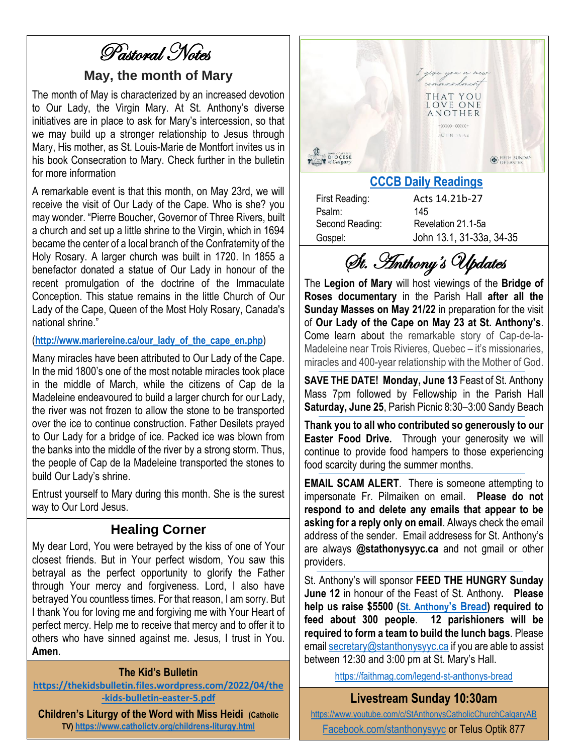Pastoral Notes

#### **May, the month of Mary**

The month of May is characterized by an increased devotion to Our Lady, the Virgin Mary. At St. Anthony's diverse initiatives are in place to ask for Mary's intercession, so that we may build up a stronger relationship to Jesus through Mary, His mother, as St. Louis-Marie de Montfort invites us in his book Consecration to Mary. Check further in the bulletin for more information

A remarkable event is that this month, on May 23rd, we will receive the visit of Our Lady of the Cape. Who is she? you may wonder. "Pierre Boucher, Governor of Three Rivers, built a church and set up a little shrine to the Virgin, which in 1694 became the center of a local branch of the Confraternity of the Holy Rosary. A larger church was built in 1720. In 1855 a benefactor donated a statue of Our Lady in honour of the recent promulgation of the doctrine of the Immaculate Conception. This statue remains in the little Church of Our Lady of the Cape, Queen of the Most Holy Rosary, Canada's national shrine."

#### (**[http://www.mariereine.ca/our\\_lady\\_of\\_the\\_cape\\_en.php](http://www.mariereine.ca/our_lady_of_the_cape_en.php)**)

Many miracles have been attributed to Our Lady of the Cape. In the mid 1800's one of the most notable miracles took place in the middle of March, while the citizens of Cap de la Madeleine endeavoured to build a larger church for our Lady, the river was not frozen to allow the stone to be transported over the ice to continue construction. Father Desilets prayed to Our Lady for a bridge of ice. Packed ice was blown from the banks into the middle of the river by a strong storm. Thus, the people of Cap de la Madeleine transported the stones to build Our Lady's shrine.

Entrust yourself to Mary during this month. She is the surest way to Our Lord Jesus.

#### **Healing Corner**

My dear Lord, You were betrayed by the kiss of one of Your closest friends. But in Your perfect wisdom, You saw this betrayal as the perfect opportunity to glorify the Father through Your mercy and forgiveness. Lord, I also have betrayed You countless times. For that reason, I am sorry. But I thank You for loving me and forgiving me with Your Heart of perfect mercy. Help me to receive that mercy and to offer it to others who have sinned against me. Jesus, I trust in You. **Amen**.

#### **The Kid's Bulletin**

**[https://thekidsbulletin.files.wordpress.com/2022/04/the](https://thekidsbulletin.files.wordpress.com/2022/04/the-kids-bulletin-easter-5.pdf) [-kids-bulletin-easter-5.pdf](https://thekidsbulletin.files.wordpress.com/2022/04/the-kids-bulletin-easter-5.pdf)**

**Children's Liturgy of the Word with Miss Heidi (Catholic TV) <https://www.catholictv.org/childrens-liturgy.html>**



Psalm: 145

First Reading: Acts 14.21b-27 Second Reading: Revelation 21.1-5a Gospel: John 13.1, 31-33a, 34-35

St. Anthony's Updates

The **Legion of Mary** will host viewings of the **Bridge of Roses documentary** in the Parish Hall **after all the Sunday Masses on May 21/22** in preparation for the visit of **Our Lady of the Cape on May 23 at St. Anthony's**. Come learn about the remarkable story of Cap-de-la-Madeleine near Trois Rivieres, Quebec – it's missionaries, miracles and 400-year relationship with the Mother of God.

**SAVE THE DATE! Monday, June 13** Feast of St. Anthony Mass 7pm followed by Fellowship in the Parish Hall **Saturday, June 25**, Parish Picnic 8:30–3:00 Sandy Beach

**Thank you to all who contributed so generously to our Easter Food Drive.** Through your generosity we will continue to provide food hampers to those experiencing food scarcity during the summer months.

**EMAIL SCAM ALERT**. There is someone attempting to impersonate Fr. Pilmaiken on email. **Please do not respond to and delete any emails that appear to be asking for a reply only on email**. Always check the email address of the sender. Email addresess for St. Anthony's are always **@stathonysyyc.ca** and not gmail or other providers.

St. Anthony's will sponsor **FEED THE HUNGRY Sunday June 12** in honour of the Feast of St. Anthony**. Please help us raise \$5500 ([St. Anthony](https://faithmag.com/legend-st-anthonys-bread)'s [Bread\)](https://faithmag.com/legend-st-anthonys-bread) required to feed about 300 people**. **12 parishioners will be required to form a team to build the lunch bags**. Please emai[l secretary@stanthonysyyc.ca](mailto:secretary@stanthonysyyc.ca) if you are able to assist between 12:30 and 3:00 pm at St. Mary's Hall.

<https://faithmag.com/legend-st-anthonys-bread>

**Livestream Sunday 10:30am** 

<https://www.youtube.com/c/StAnthonysCatholicChurchCalgaryAB> [Facebook.com/stanthonysyyc](https://www.facebook.com/stanthonysyyc/) or Telus Optik 877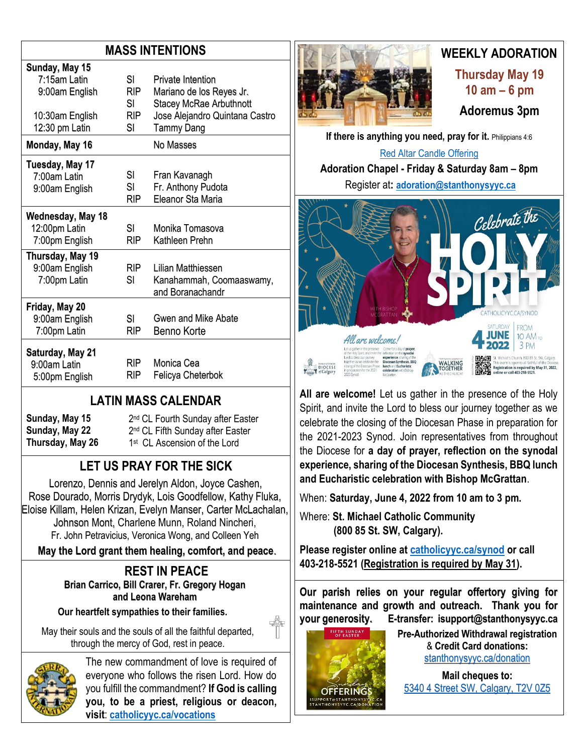## **MASS INTENTIONS**

| Sunday, May 15<br>7:15am Latin   | SI               | Private Intention                                          |
|----------------------------------|------------------|------------------------------------------------------------|
| 9:00am English                   | <b>RIP</b><br>SI | Mariano de los Reyes Jr.<br><b>Stacey McRae Arbuthnott</b> |
| 10:30am English                  | <b>RIP</b>       | Jose Alejandro Quintana Castro                             |
| 12:30 pm Latin                   | SI               | <b>Tammy Dang</b>                                          |
| Monday, May 16                   |                  | No Masses                                                  |
| Tuesday, May 17                  |                  |                                                            |
| 7:00am Latin                     | SI               | Fran Kavanagh                                              |
| 9:00am English                   | SL               | Fr. Anthony Pudota                                         |
|                                  | RIP              | Eleanor Sta Maria                                          |
| Wednesday, May 18                |                  |                                                            |
| 12:00pm Latin                    | SI               | Monika Tomasova                                            |
| 7:00pm English                   | RIP              | Kathleen Prehn                                             |
| Thursday, May 19                 |                  |                                                            |
| 9:00am English                   | RIP.             | Lilian Matthiessen                                         |
| 7:00pm Latin                     | SI               | Kanahammah, Coomaaswamy,                                   |
|                                  |                  | and Boranachandr                                           |
| Friday, May 20                   |                  |                                                            |
| 9:00am English                   | SL               | Gwen and Mike Abate                                        |
| 7:00pm Latin                     | RIP              | Benno Korte                                                |
| Saturday, May 21<br>9:00am Latin | RIP.             | Monica Cea                                                 |
| 5:00pm English                   | RIP              | Felicya Cheterbok                                          |

## **LATIN MASS CALENDAR**

**Sunday, May 15 Sunday, May 22 Thursday, May 26** 2<sup>nd</sup> CL Fourth Sunday after Easter 2<sup>nd</sup> CL Fifth Sunday after Easter 1<sup>st</sup> CL Ascension of the Lord

## **LET US PRAY FOR THE SICK**

Lorenzo, Dennis and Jerelyn Aldon, Joyce Cashen, Rose Dourado, Morris Drydyk, Lois Goodfellow, Kathy Fluka, Eloise Killam, Helen Krizan, Evelyn Manser, Carter McLachalan, Johnson Mont, Charlene Munn, Roland Nincheri, Fr. John Petravicius, Veronica Wong, and Colleen Yeh

**May the Lord grant them healing, comfort, and peace**.

#### **REST IN PEACE Brian Carrico, Bill Crarer, Fr. Gregory Hogan and Leona Wareham**

**Our heartfelt sympathies to their families.**

May their souls and the souls of all the faithful departed, through the mercy of God, rest in peace.



The new commandment of love is required of everyone who follows the risen Lord. How do you fulfill the commandment? **If God is calling you, to be a priest, religious or deacon, visit**: **[catholicyyc.ca/vocations](http://www.catholicyyc.ca/vocations)**



# **WEEKLY ADORATION**

**Thursday May 19 10 am – 6 pm Adoremus 3pm**

**If there is anything you need, pray for it. Philippians 4:6** [Red Altar Candle Offering](https://stanthonysyyc.ca/wp-content/uploads/2020/10/RED-ALTAR-CANDLE-OFFERING.pdf)

**Adoration Chapel - Friday & Saturday 8am – 8pm**  Register at**: [adoration@stanthonysyyc.ca](mailto:adoration@stanthonysyyc.ca)**



**All are welcome!** Let us gather in the presence of the Holy Spirit, and invite the Lord to bless our journey together as we celebrate the closing of the Diocesan Phase in preparation for the 2021-2023 Synod. Join representatives from throughout the Diocese for **a day of prayer, reflection on the synodal experience, sharing of the Diocesan Synthesis, BBQ lunch and Eucharistic celebration with Bishop McGrattan**.

When: **Saturday, June 4, 2022 from 10 am to 3 pm.** 

Where: **St. Michael Catholic Community (800 85 St. SW, Calgary).** 

**Please register online at [catholicyyc.ca/synod](https://www.catholicyyc.ca/synod.html) or call 403-218-5521 (Registration is required by May 31).**

**Our parish relies on your regular offertory giving for maintenance and growth and outreach. Thank you for your generosity. E-transfer: isupport@stanthonysyyc.ca**



**Pre-Authorized Withdrawal registration**  & **Credit Card donations:** [stanthonysyyc.ca/donation](https://stanthonysyyc.ca/donation/)

**Mail cheques to:** 5340 4 Street SW, Calgary, T2V 0Z5